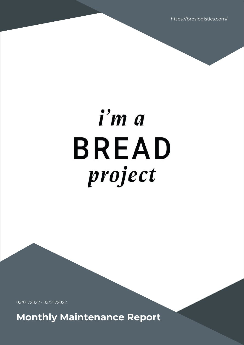https://broslogistics.com/

# i'm a **BREAD** project

03/01/2022 - 03/31/2022

**Monthly Maintenance Report**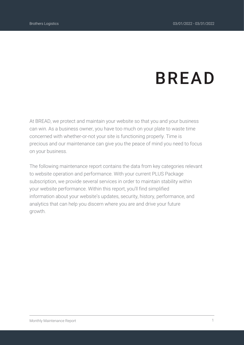# **BREAD**

At BREAD, we protect and maintain your website so that you and your business can win. As a business owner, you have too much on your plate to waste time concerned with whether-or-not your site is functioning properly. Time is precious and our maintenance can give you the peace of mind you need to focus on your business.

The following maintenance report contains the data from key categories relevant to website operation and performance. With your current PLUS Package subscription, we provide several services in order to maintain stability within your website performance. Within this report, you'll find simplified information about your website's updates, security, history, performance, and analytics that can help you discern where you are and drive your future growth.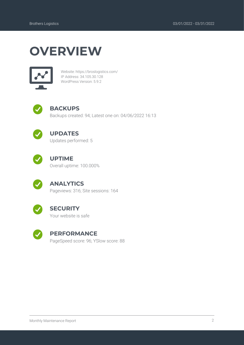## **OVERVIEW**



Website: https://broslogistics.com/ IP Address: 34.105.30.128 WordPress Version: 5.9.2



#### **BACKUPS**

Backups created: 94; Latest one on: 04/06/2022 16:13



#### **UPDATES**

Updates performed: 5



#### **UPTIME**

Overall uptime: 100.000%



#### **ANALYTICS**

Pageviews: 316; Site sessions: 164



#### **SECURITY**

Your website is safe



#### **PERFORMANCE**

PageSpeed score: 96; YSlow score: 88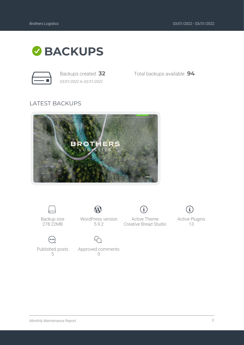

*03/01/2022 to 03/31/2022*

Backups created: **32** Total backups available: **94**

#### LATEST BACKUPS





Backup size 278.22MB



 $\mathbf W$ 

 $\bigodot$ Published posts 5

Approved comments  $\bigcap$ 

Active Theme Creative Bread Studio

 $\bf{(i)}$ 



Active Plugins 13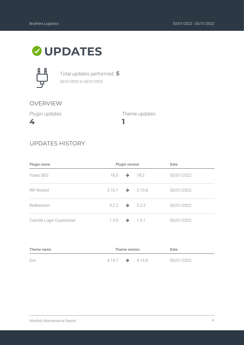### **UPDATES**



Total updates performed: **5** *03/01/2022 to 03/31/2022*

#### OVERVIEW

Plugin updates

**4**

Theme updates

#### UPDATES HISTORY

| Plugin name               | Plugin version      |               |                      | Date       |  |  |
|---------------------------|---------------------|---------------|----------------------|------------|--|--|
| Yoast SEO                 | 18.0                | $\rightarrow$ | 18.2                 | 03/01/2022 |  |  |
| <b>WP Rocket</b>          | 3.10.7              |               | $\rightarrow$ 3.10.8 | 03/01/2022 |  |  |
| Redirection               | $5.2.2 \rightarrow$ |               | 5.2.3                | 03/01/2022 |  |  |
| Colorlib Login Customizer | 1.3.0               | $\rightarrow$ | 1.3.1                | 03/01/2022 |  |  |

**1**

| Theme name | Theme version               |  |  | Date       |
|------------|-----------------------------|--|--|------------|
| Divi       | $4.14.7 \rightarrow 4.14.8$ |  |  | 03/01/2022 |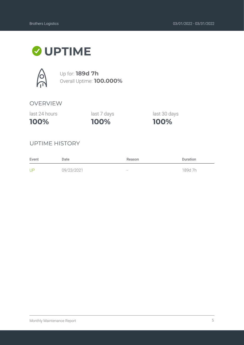### **UPTIME**



Up for: **189d 7h** Overall Uptime: **100.000%**

#### OVERVIEW

last 24 hours

**100%**

**100%** last 7 days last 30 days

**100%**

#### UPTIME HISTORY

| Event | Date       | Reason                   | <b>Duration</b> |
|-------|------------|--------------------------|-----------------|
| UP    | 09/23/2021 | $\overline{\phantom{a}}$ | 189d 7h         |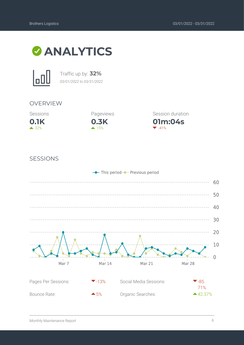



Traffic up by: **32%** *03/01/2022 to 03/31/2022*

#### OVERVIEW





**01m:04s** Session duration  $-41%$ 

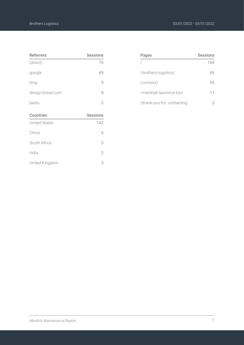| <b>Referrers</b>     | <b>Sessions</b> |
|----------------------|-----------------|
| (direct)             | 70              |
| google               | 69              |
| bing                 | 9               |
| design-bread.com     | 8               |
| baidu                | 5               |
| Countries            | <b>Sessions</b> |
| <b>United States</b> | 142             |
| China                | 6               |
| South Africa         | 3               |
| India                | 3               |

United Kingdom 3

| Pages                     | Sessions |
|---------------------------|----------|
|                           | 169      |
| /brothers-logistics/      | 65       |
| /connect/                 | 55       |
| /marshall-lawrence-bio/   | 11       |
| /thank-you-for-contacting |          |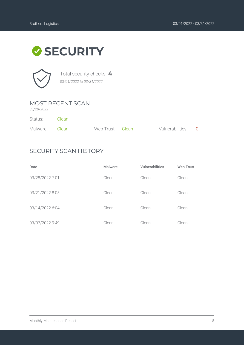# **SECURITY**



Total security checks: **4** *03/01/2022 to 03/31/2022*

#### MOST RECENT SCAN

*03/28/2022*

| Status:        | - Clean |                  |                    |  |
|----------------|---------|------------------|--------------------|--|
| Malware: Clean |         | Web Trust: Clean | Vulnerabilities: 0 |  |

#### SECURITY SCAN HISTORY

| Date            | Malware | <b>Vulnerabilities</b> | <b>Web Trust</b> |
|-----------------|---------|------------------------|------------------|
| 03/28/2022 7:01 | Clean   | Clean                  | Clean            |
| 03/21/2022 8:05 | Clean   | Clean                  | Clean            |
| 03/14/2022 6:04 | Clean   | Clean                  | Clean            |
| 03/07/2022 9:49 | Clean   | Clean                  | Clean            |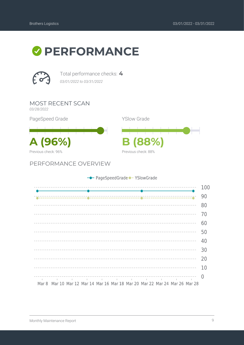



Total performance checks: **4** *03/01/2022 to 03/31/2022*

MOST RECENT SCAN

*03/28/2022*

PageSpeed Grade

**A (96%) B (88%)** Previous check: 96%

PERFORMANCE OVERVIEW



|        |  |                                                                                                                 | - PageSpeedGrade - YSlowGrade |  |                                  |                                                                       |     |
|--------|--|-----------------------------------------------------------------------------------------------------------------|-------------------------------|--|----------------------------------|-----------------------------------------------------------------------|-----|
|        |  |                                                                                                                 |                               |  | ________________________________ |                                                                       | 100 |
|        |  |                                                                                                                 |                               |  |                                  |                                                                       |     |
|        |  |                                                                                                                 |                               |  |                                  |                                                                       | 90  |
|        |  |                                                                                                                 |                               |  |                                  |                                                                       | 80  |
|        |  |                                                                                                                 |                               |  |                                  |                                                                       | 70  |
|        |  |                                                                                                                 |                               |  |                                  |                                                                       | 60  |
|        |  |                                                                                                                 |                               |  |                                  |                                                                       | 50  |
|        |  |                                                                                                                 |                               |  |                                  |                                                                       | 40  |
|        |  |                                                                                                                 |                               |  |                                  |                                                                       | 30  |
|        |  |                                                                                                                 |                               |  |                                  |                                                                       | 20  |
|        |  |                                                                                                                 |                               |  |                                  |                                                                       | 10  |
| $\Box$ |  | the contract of the contract of the contract of the contract of the contract of the contract of the contract of |                               |  | <b>Contract Contract</b>         |                                                                       | O   |
| Mar 8  |  |                                                                                                                 |                               |  |                                  | Mar 10 Mar 12 Mar 14 Mar 16 Mar 18 Mar 20 Mar 22 Mar 24 Mar 26 Mar 28 |     |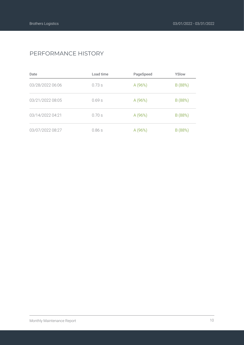#### PERFORMANCE HISTORY

| Date             | Load time | PageSpeed | YSlow   |
|------------------|-----------|-----------|---------|
| 03/28/2022 06:06 | 0.73s     | A(96%)    | B (88%) |
| 03/21/2022 08:05 | 0.69s     | A (96%)   | B (88%) |
| 03/14/2022 04:21 | 0.70s     | A (96%)   | B (88%) |
| 03/07/2022 08:27 | 0.86s     | A (96%)   | B (88%) |